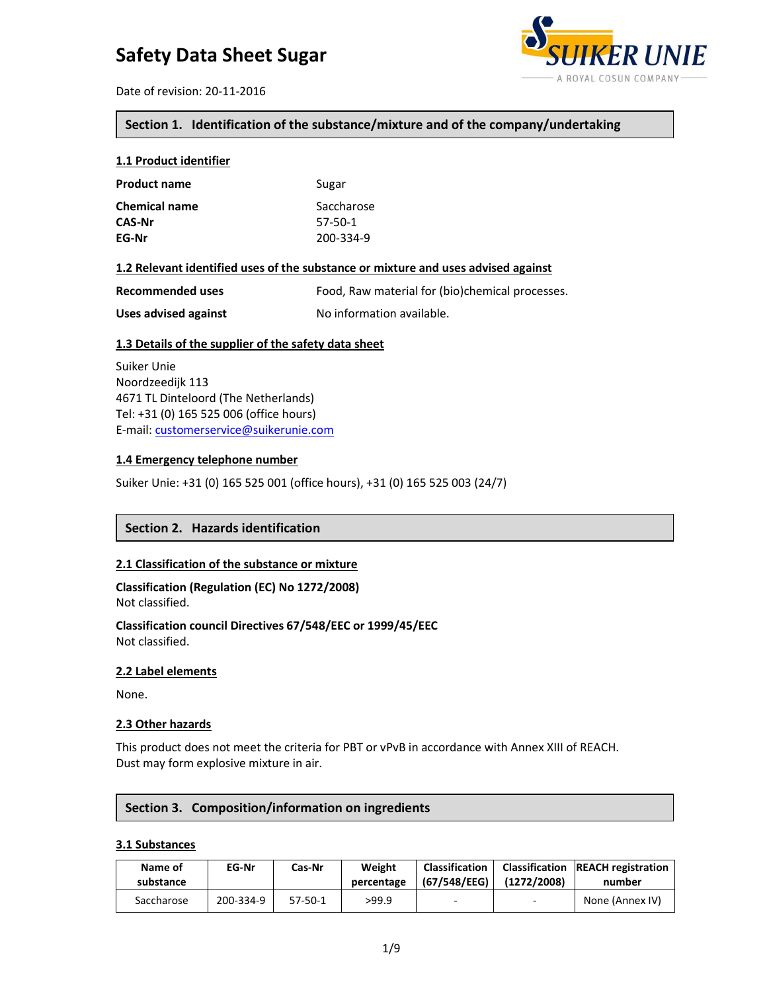

Date of revision: 20-11-2016

# **Section 1. Identification of the substance/mixture and of the company/undertaking**

## **1.1 Product identifier**

| <b>Product name</b>  | Sugar      |
|----------------------|------------|
| <b>Chemical name</b> | Saccharose |
| <b>CAS-Nr</b>        | 57-50-1    |
| EG-Nr                | 200-334-9  |

#### **1.2 Relevant identified uses of the substance or mixture and uses advised against**

| <b>Recommended uses</b> | Food, Raw material for (bio)chemical processes. |
|-------------------------|-------------------------------------------------|
| Uses advised against    | No information available.                       |

## **1.3 Details of the supplier of the safety data sheet**

Suiker Unie Noordzeedijk 113 4671 TL Dinteloord (The Netherlands) Tel: +31 (0) 165 525 006 (office hours) E-mail: customerservice@suikerunie.com

#### **1.4 Emergency telephone number**

Suiker Unie: +31 (0) 165 525 001 (office hours), +31 (0) 165 525 003 (24/7)

# **Section 2. Hazards identification**

#### **2.1 Classification of the substance or mixture**

**Classification (Regulation (EC) No 1272/2008)** Not classified.

**Classification council Directives 67/548/EEC or 1999/45/EEC** Not classified.

#### **2.2 Label elements**

None.

#### **2.3 Other hazards**

This product does not meet the criteria for PBT or vPvB in accordance with Annex XIII of REACH. Dust may form explosive mixture in air.

#### **Section 3. Composition/information on ingredients**

#### **3.1 Substances**

| Name of<br>substance | EG-Nr     | Cas-Nr    | Weight<br>percentage | <b>Classification</b><br>(67/548/EEG) | (1272/2008) | <b>Classification REACH registration</b><br>number |
|----------------------|-----------|-----------|----------------------|---------------------------------------|-------------|----------------------------------------------------|
| Saccharose           | 200-334-9 | $57-50-1$ | >99.9                | -                                     |             | None (Annex IV)                                    |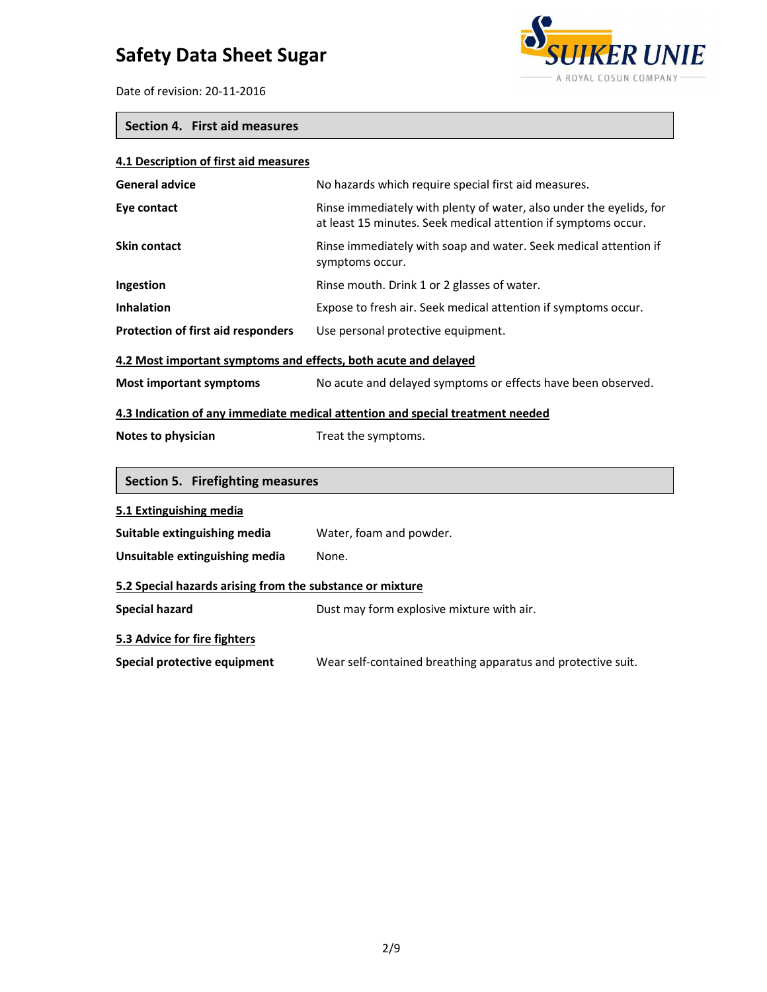

Date of revision: 20-11-2016

# **Section 4. First aid measures**

| 4.1 Description of first aid measures                                          |                                                                                                                                       |  |  |
|--------------------------------------------------------------------------------|---------------------------------------------------------------------------------------------------------------------------------------|--|--|
| <b>General advice</b>                                                          | No hazards which require special first aid measures.                                                                                  |  |  |
| Eye contact                                                                    | Rinse immediately with plenty of water, also under the eyelids, for<br>at least 15 minutes. Seek medical attention if symptoms occur. |  |  |
| <b>Skin contact</b>                                                            | Rinse immediately with soap and water. Seek medical attention if<br>symptoms occur.                                                   |  |  |
| Ingestion                                                                      | Rinse mouth. Drink 1 or 2 glasses of water.                                                                                           |  |  |
| <b>Inhalation</b>                                                              | Expose to fresh air. Seek medical attention if symptoms occur.                                                                        |  |  |
| <b>Protection of first aid responders</b>                                      | Use personal protective equipment.                                                                                                    |  |  |
| 4.2 Most important symptoms and effects, both acute and delayed                |                                                                                                                                       |  |  |
| <b>Most important symptoms</b>                                                 | No acute and delayed symptoms or effects have been observed.                                                                          |  |  |
| 4.3 Indication of any immediate medical attention and special treatment needed |                                                                                                                                       |  |  |
| Notes to physician                                                             | Treat the symptoms.                                                                                                                   |  |  |
| Section 5. Firefighting measures                                               |                                                                                                                                       |  |  |
| 5.1 Extinguishing media                                                        |                                                                                                                                       |  |  |
| Suitable extinguishing media                                                   | Water, foam and powder.                                                                                                               |  |  |
| Unsuitable extinguishing media                                                 | None.                                                                                                                                 |  |  |
| 5.2 Special hazards arising from the substance or mixture                      |                                                                                                                                       |  |  |
| <b>Special hazard</b>                                                          | Dust may form explosive mixture with air.                                                                                             |  |  |
| 5.3 Advice for fire fighters                                                   |                                                                                                                                       |  |  |
| Special protective equipment                                                   | Wear self-contained breathing apparatus and protective suit.                                                                          |  |  |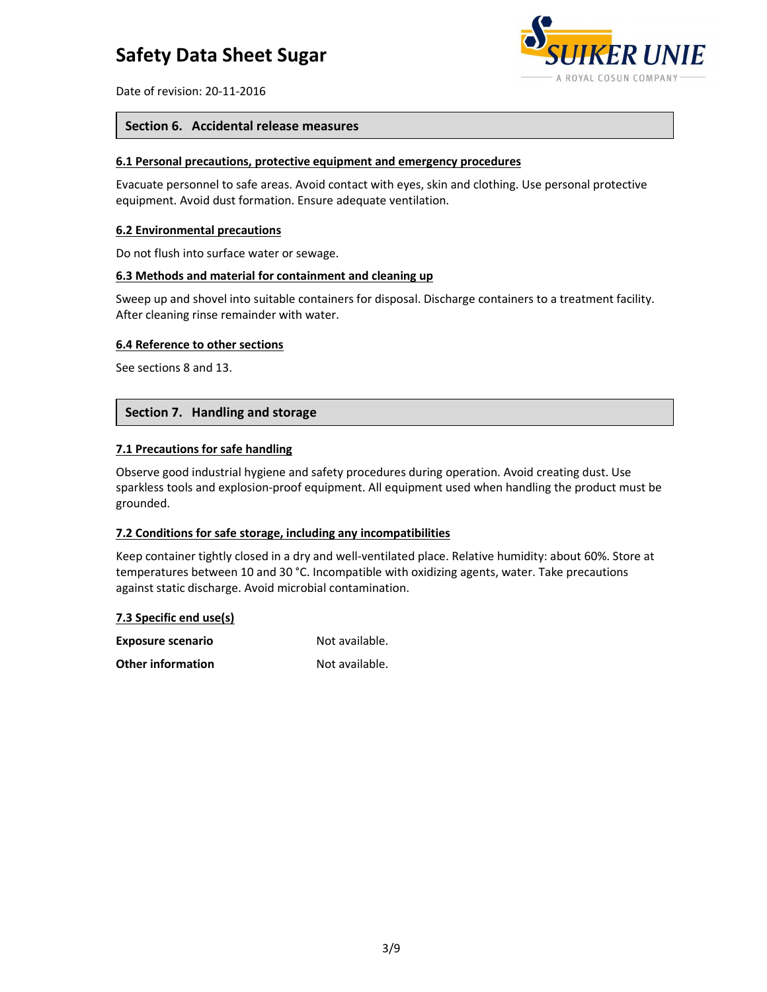

Date of revision: 20-11-2016

#### **Section 6. Accidental release measures**

#### **6.1 Personal precautions, protective equipment and emergency procedures**

Evacuate personnel to safe areas. Avoid contact with eyes, skin and clothing. Use personal protective equipment. Avoid dust formation. Ensure adequate ventilation.

#### **6.2 Environmental precautions**

Do not flush into surface water or sewage.

# **6.3 Methods and material for containment and cleaning up**

Sweep up and shovel into suitable containers for disposal. Discharge containers to a treatment facility. After cleaning rinse remainder with water.

#### **6.4 Reference to other sections**

See sections 8 and 13.

#### **Section 7. Handling and storage**

#### **7.1 Precautions for safe handling**

Observe good industrial hygiene and safety procedures during operation. Avoid creating dust. Use sparkless tools and explosion-proof equipment. All equipment used when handling the product must be grounded.

#### **7.2 Conditions for safe storage, including any incompatibilities**

Keep container tightly closed in a dry and well-ventilated place. Relative humidity: about 60%. Store at temperatures between 10 and 30 °C. Incompatible with oxidizing agents, water. Take precautions against static discharge. Avoid microbial contamination.

| 7.3 Specific end use(s)  |                |  |
|--------------------------|----------------|--|
| <b>Exposure scenario</b> | Not available. |  |
| <b>Other information</b> | Not available. |  |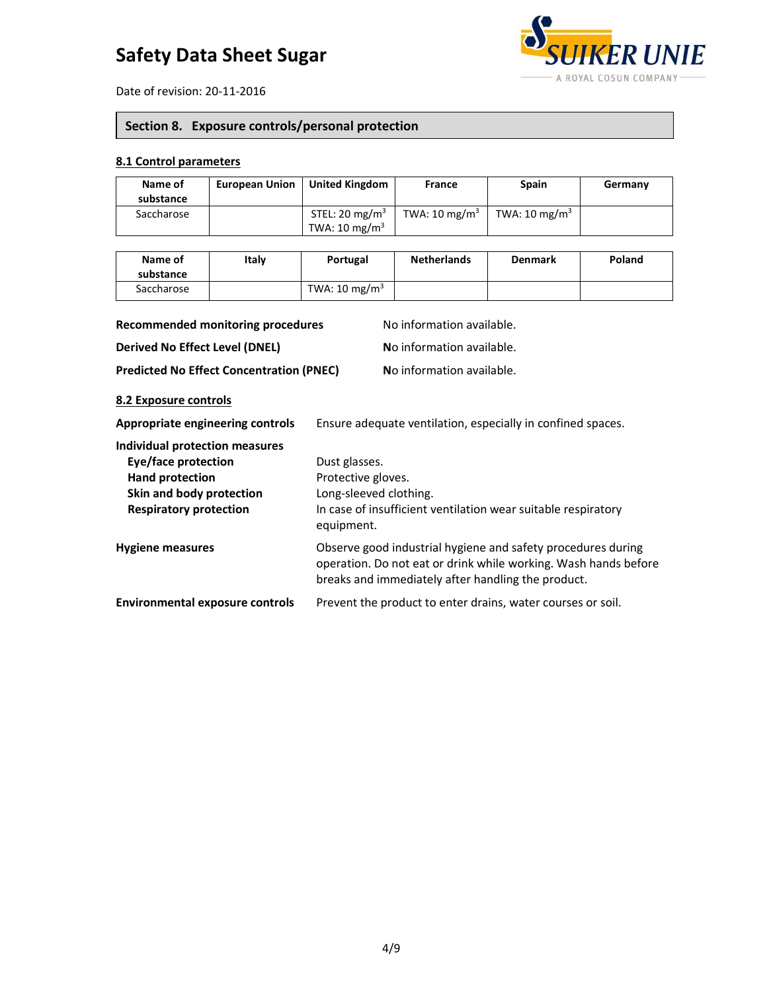

Date of revision: 20-11-2016

# **Section 8. Exposure controls/personal protection**

## **8.1 Control parameters**

| Name of<br>substance | <b>European Union</b> | <b>United Kingdom</b>                                  | France                   | <b>Spain</b>             | Germany |
|----------------------|-----------------------|--------------------------------------------------------|--------------------------|--------------------------|---------|
| Saccharose           |                       | STEL: 20 mg/m <sup>3</sup><br>TWA: $10 \text{ mg/m}^3$ | TWA: $10 \text{ mg/m}^3$ | TWA: $10 \text{ mg/m}^3$ |         |

| Name of<br>substance | Italv | Portugal                 | <b>Netherlands</b> | <b>Denmark</b> | Poland |
|----------------------|-------|--------------------------|--------------------|----------------|--------|
| Saccharose           |       | TWA: $10 \text{ mg/m}^3$ |                    |                |        |
|                      |       |                          |                    |                |        |

| Recommended monitoring procedures               | No information available.                                   |
|-------------------------------------------------|-------------------------------------------------------------|
| <b>Derived No Effect Level (DNEL)</b>           | No information available.                                   |
| <b>Predicted No Effect Concentration (PNEC)</b> | No information available.                                   |
| 8.2 Exposure controls                           |                                                             |
| Appropriate engineering controls                | Ensure adequate ventilation, especially in confined spaces. |

| Individual protection measures<br>Eye/face protection<br><b>Hand protection</b><br>Skin and body protection<br><b>Respiratory protection</b> | Dust glasses.<br>Protective gloves.<br>Long-sleeved clothing.<br>In case of insufficient ventilation wear suitable respiratory<br>equipment.                                          |
|----------------------------------------------------------------------------------------------------------------------------------------------|---------------------------------------------------------------------------------------------------------------------------------------------------------------------------------------|
| <b>Hygiene measures</b>                                                                                                                      | Observe good industrial hygiene and safety procedures during<br>operation. Do not eat or drink while working. Wash hands before<br>breaks and immediately after handling the product. |
| <b>Environmental exposure controls</b>                                                                                                       | Prevent the product to enter drains, water courses or soil.                                                                                                                           |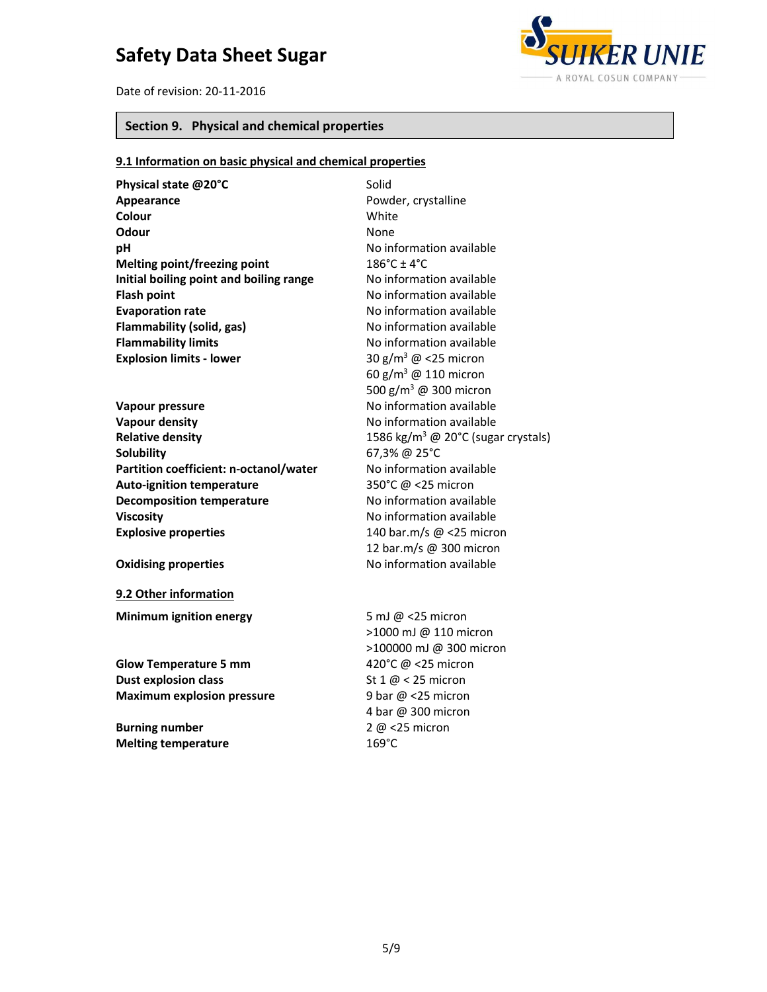Date of revision: 20-11-2016



# **Section 9. Physical and chemical properties**

# **9.1 Information on basic physical and chemical properties**

| Physical state @20°C                    | Solid                                          |
|-----------------------------------------|------------------------------------------------|
| Appearance                              | Powder, crystalline                            |
| Colour                                  | White                                          |
| Odour                                   | None                                           |
| рH                                      | No information available                       |
| Melting point/freezing point            | $186^{\circ}$ C ± 4 $^{\circ}$ C               |
| Initial boiling point and boiling range | No information available                       |
| <b>Flash point</b>                      | No information available                       |
| <b>Evaporation rate</b>                 | No information available                       |
| Flammability (solid, gas)               | No information available                       |
| <b>Flammability limits</b>              | No information available                       |
| <b>Explosion limits - lower</b>         | 30 g/m <sup>3</sup> @ <25 micron               |
|                                         | 60 g/m <sup>3</sup> @ 110 micron               |
|                                         | 500 g/m <sup>3</sup> @ 300 micron              |
| Vapour pressure                         | No information available                       |
| <b>Vapour density</b>                   | No information available                       |
| <b>Relative density</b>                 | 1586 kg/m <sup>3</sup> @ 20°C (sugar crystals) |
| <b>Solubility</b>                       | 67,3% @ 25°C                                   |
| Partition coefficient: n-octanol/water  | No information available                       |
| <b>Auto-ignition temperature</b>        | 350°C @ <25 micron                             |
| <b>Decomposition temperature</b>        | No information available                       |
| <b>Viscosity</b>                        | No information available                       |
| <b>Explosive properties</b>             | 140 bar.m/s @ <25 micron                       |
|                                         | 12 bar.m/s @ 300 micron                        |
| <b>Oxidising properties</b>             | No information available                       |
|                                         |                                                |
| 9.2 Other information                   |                                                |
| Minimum ignition energy                 | 5 mJ $@$ <25 micron                            |
|                                         | >1000 mJ @ 110 micron                          |
|                                         | >100000 mJ @ 300 micron                        |
| <b>Glow Temperature 5 mm</b>            | 420°C @ <25 micron                             |
| <b>Dust explosion class</b>             | St $1 \omega < 25$ micron                      |
| <b>Maximum explosion pressure</b>       | 9 bar $@$ <25 micron                           |
|                                         | 4 bar @ 300 micron                             |
| <b>Burning number</b>                   | 2 @ <25 micron                                 |
| <b>Melting temperature</b>              | $169^{\circ}$ C                                |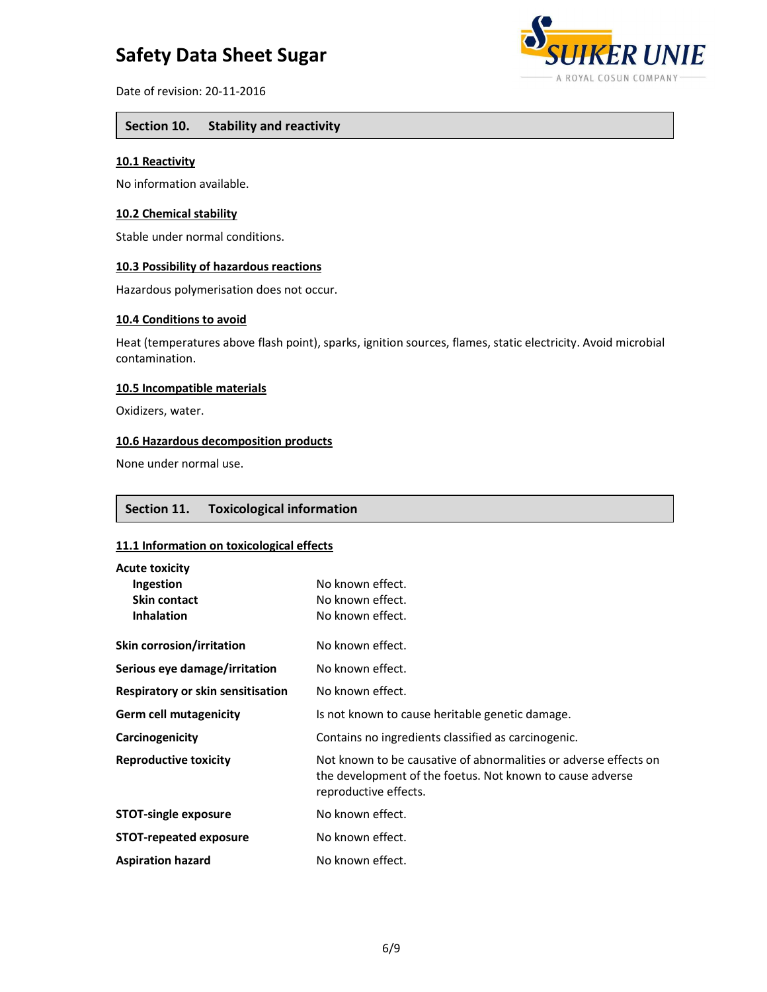

Date of revision: 20-11-2016

## **Section 10. Stability and reactivity**

#### **10.1 Reactivity**

No information available.

# **10.2 Chemical stability**

Stable under normal conditions.

#### **10.3 Possibility of hazardous reactions**

Hazardous polymerisation does not occur.

#### **10.4 Conditions to avoid**

Heat (temperatures above flash point), sparks, ignition sources, flames, static electricity. Avoid microbial contamination.

#### **10.5 Incompatible materials**

Oxidizers, water.

# **10.6 Hazardous decomposition products**

None under normal use.

## **Section 11. Toxicological information**

#### **11.1 Information on toxicological effects**

| <b>Acute toxicity</b>             |                                                                                                                                                        |
|-----------------------------------|--------------------------------------------------------------------------------------------------------------------------------------------------------|
| Ingestion                         | No known effect.                                                                                                                                       |
| <b>Skin contact</b>               | No known effect.                                                                                                                                       |
| <b>Inhalation</b>                 | No known effect.                                                                                                                                       |
| Skin corrosion/irritation         | No known effect.                                                                                                                                       |
| Serious eye damage/irritation     | No known effect.                                                                                                                                       |
| Respiratory or skin sensitisation | No known effect.                                                                                                                                       |
| <b>Germ cell mutagenicity</b>     | Is not known to cause heritable genetic damage.                                                                                                        |
| Carcinogenicity                   | Contains no ingredients classified as carcinogenic.                                                                                                    |
| <b>Reproductive toxicity</b>      | Not known to be causative of abnormalities or adverse effects on<br>the development of the foetus. Not known to cause adverse<br>reproductive effects. |
| <b>STOT-single exposure</b>       | No known effect.                                                                                                                                       |
| <b>STOT-repeated exposure</b>     | No known effect.                                                                                                                                       |
| <b>Aspiration hazard</b>          | No known effect.                                                                                                                                       |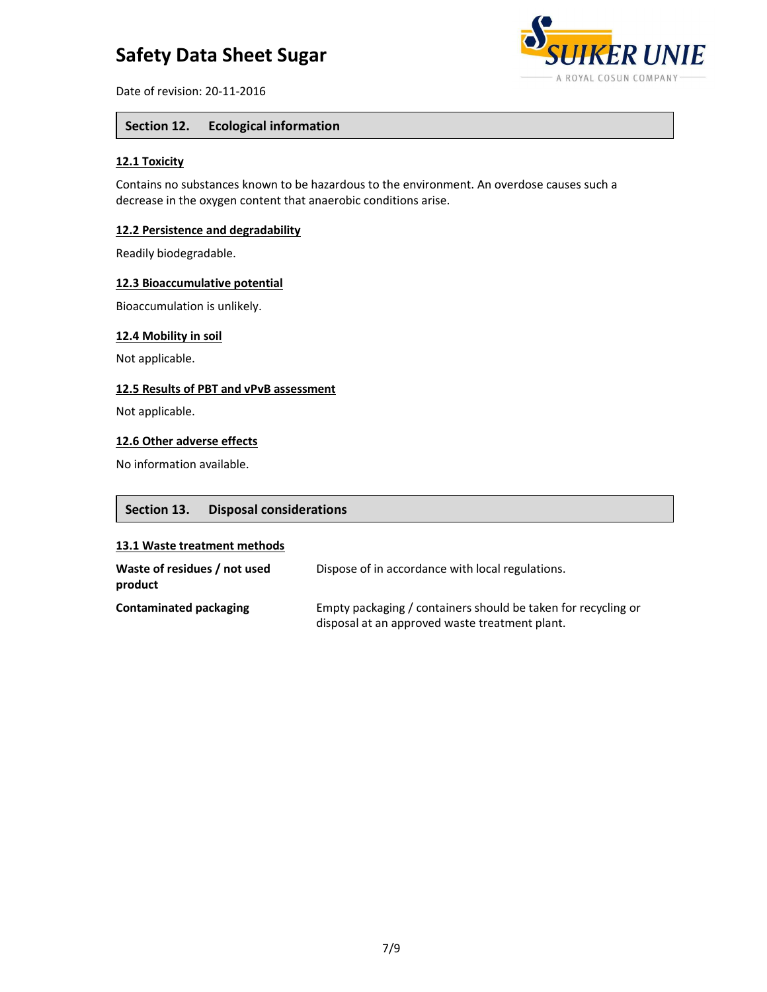

Date of revision: 20-11-2016

# **Section 12. Ecological information**

### **12.1 Toxicity**

Contains no substances known to be hazardous to the environment. An overdose causes such a decrease in the oxygen content that anaerobic conditions arise.

### **12.2 Persistence and degradability**

Readily biodegradable.

#### **12.3 Bioaccumulative potential**

Bioaccumulation is unlikely.

#### **12.4 Mobility in soil**

Not applicable.

#### **12.5 Results of PBT and vPvB assessment**

Not applicable.

# **12.6 Other adverse effects**

No information available.

## **Section 13. Disposal considerations**

#### **13.1 Waste treatment methods**

| Waste of residues / not used<br>product | Dispose of in accordance with local regulations.                                                                |
|-----------------------------------------|-----------------------------------------------------------------------------------------------------------------|
| Contaminated packaging                  | Empty packaging / containers should be taken for recycling or<br>disposal at an approved waste treatment plant. |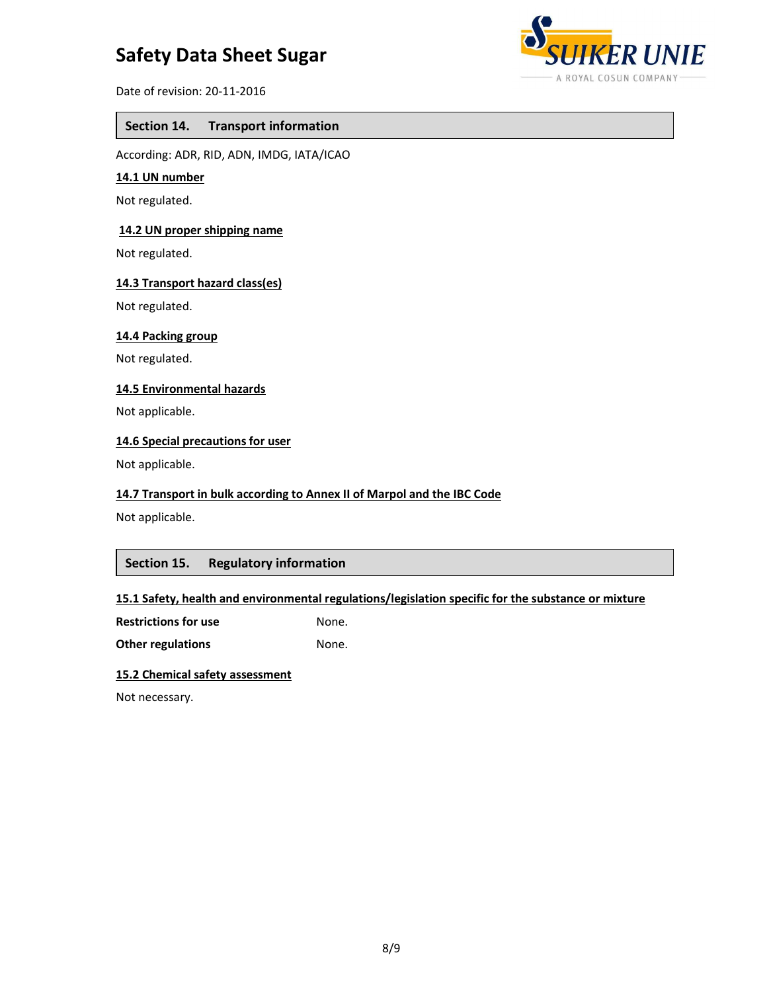

Date of revision: 20-11-2016

## **Section 14. Transport information**

According: ADR, RID, ADN, IMDG, IATA/ICAO

#### **14.1 UN number**

Not regulated.

### **14.2 UN proper shipping name**

Not regulated.

#### **14.3 Transport hazard class(es)**

Not regulated.

### **14.4 Packing group**

Not regulated.

#### **14.5 Environmental hazards**

Not applicable.

# **14.6 Special precautions for user**

Not applicable.

#### **14.7 Transport in bulk according to Annex II of Marpol and the IBC Code**

Not applicable.

# **Section 15. Regulatory information**

## **15.1 Safety, health and environmental regulations/legislation specific for the substance or mixture**

**Restrictions for use** None.

**Other regulations** None.

#### **15.2 Chemical safety assessment**

Not necessary.